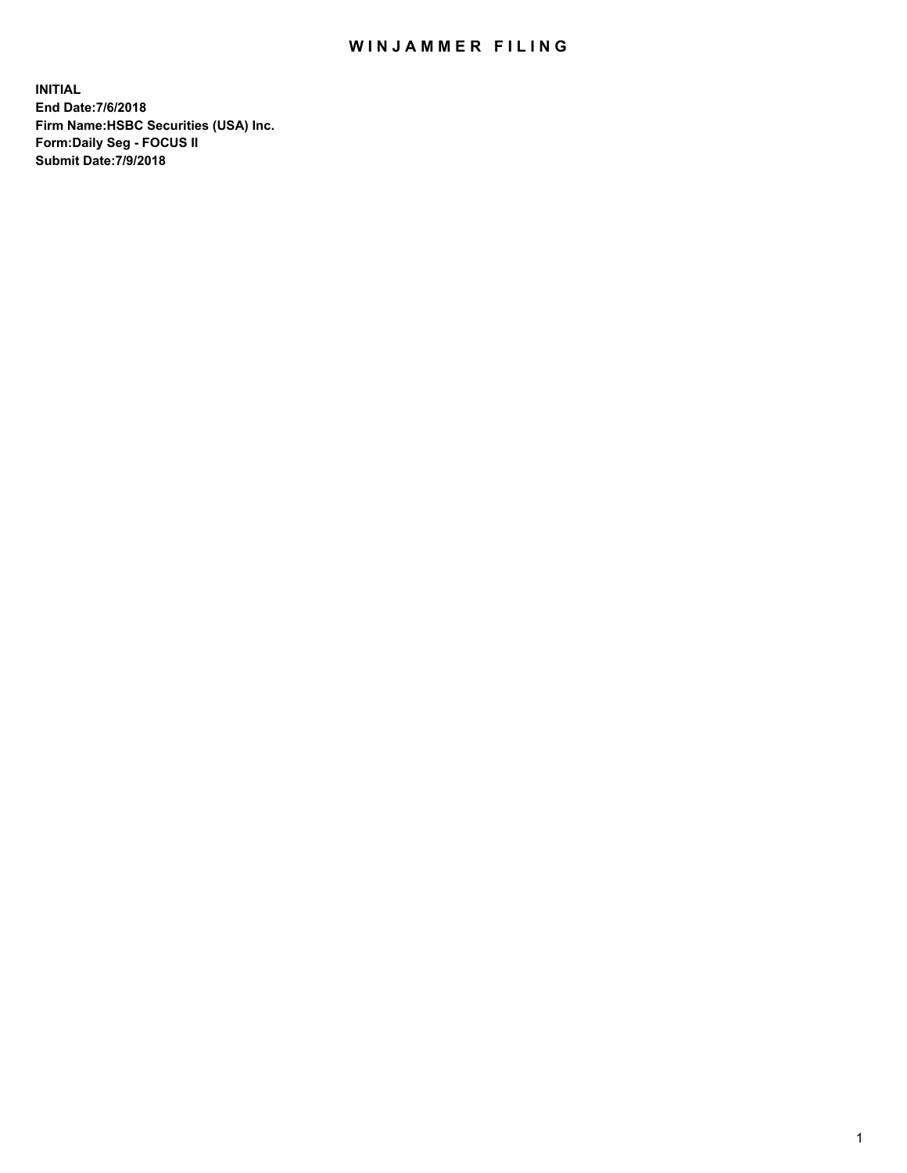## WIN JAMMER FILING

**INITIAL End Date:7/6/2018 Firm Name:HSBC Securities (USA) Inc. Form:Daily Seg - FOCUS II Submit Date:7/9/2018**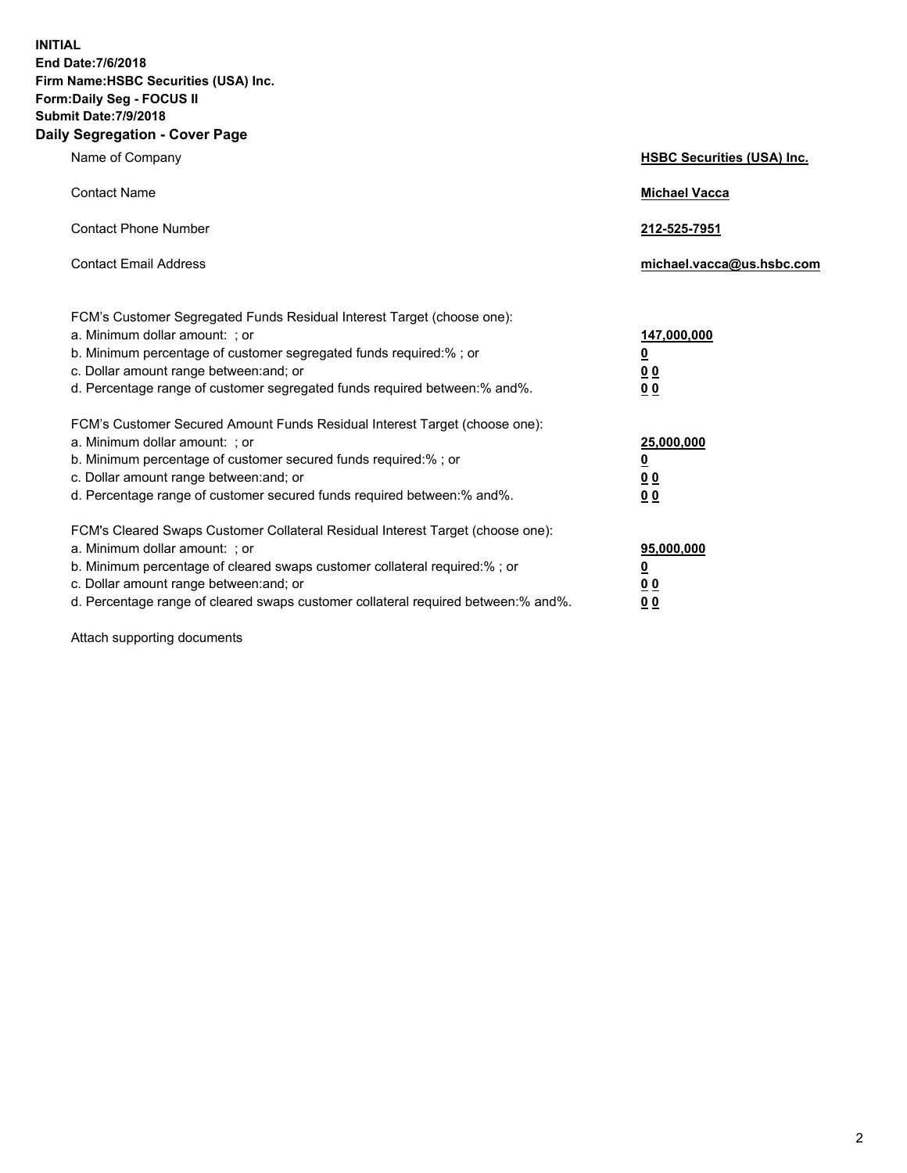**INITIAL End Date:7/6/2018 Firm Name:HSBC Securities (USA) Inc. Form:Daily Seg - FOCUS II Submit Date:7/9/2018 Daily Segregation - Cover Page**

| Name of Company                                                                                                                                                                                                                                                                                                                | <b>HSBC Securities (USA) Inc.</b>                           |
|--------------------------------------------------------------------------------------------------------------------------------------------------------------------------------------------------------------------------------------------------------------------------------------------------------------------------------|-------------------------------------------------------------|
| <b>Contact Name</b>                                                                                                                                                                                                                                                                                                            | <b>Michael Vacca</b>                                        |
| <b>Contact Phone Number</b>                                                                                                                                                                                                                                                                                                    | 212-525-7951                                                |
| <b>Contact Email Address</b>                                                                                                                                                                                                                                                                                                   | michael.vacca@us.hsbc.com                                   |
| FCM's Customer Segregated Funds Residual Interest Target (choose one):<br>a. Minimum dollar amount: ; or<br>b. Minimum percentage of customer segregated funds required:% ; or<br>c. Dollar amount range between: and; or<br>d. Percentage range of customer segregated funds required between:% and%.                         | 147,000,000<br><u>0</u><br>0 <sub>0</sub><br>0 <sub>0</sub> |
| FCM's Customer Secured Amount Funds Residual Interest Target (choose one):<br>a. Minimum dollar amount: ; or<br>b. Minimum percentage of customer secured funds required:%; or<br>c. Dollar amount range between: and; or<br>d. Percentage range of customer secured funds required between:% and%.                            | 25,000,000<br><u>0</u><br>00<br>0 <sub>0</sub>              |
| FCM's Cleared Swaps Customer Collateral Residual Interest Target (choose one):<br>a. Minimum dollar amount: ; or<br>b. Minimum percentage of cleared swaps customer collateral required:% ; or<br>c. Dollar amount range between: and; or<br>d. Percentage range of cleared swaps customer collateral required between:% and%. | 95,000,000<br><u>0</u><br>00<br><u>00</u>                   |

Attach supporting documents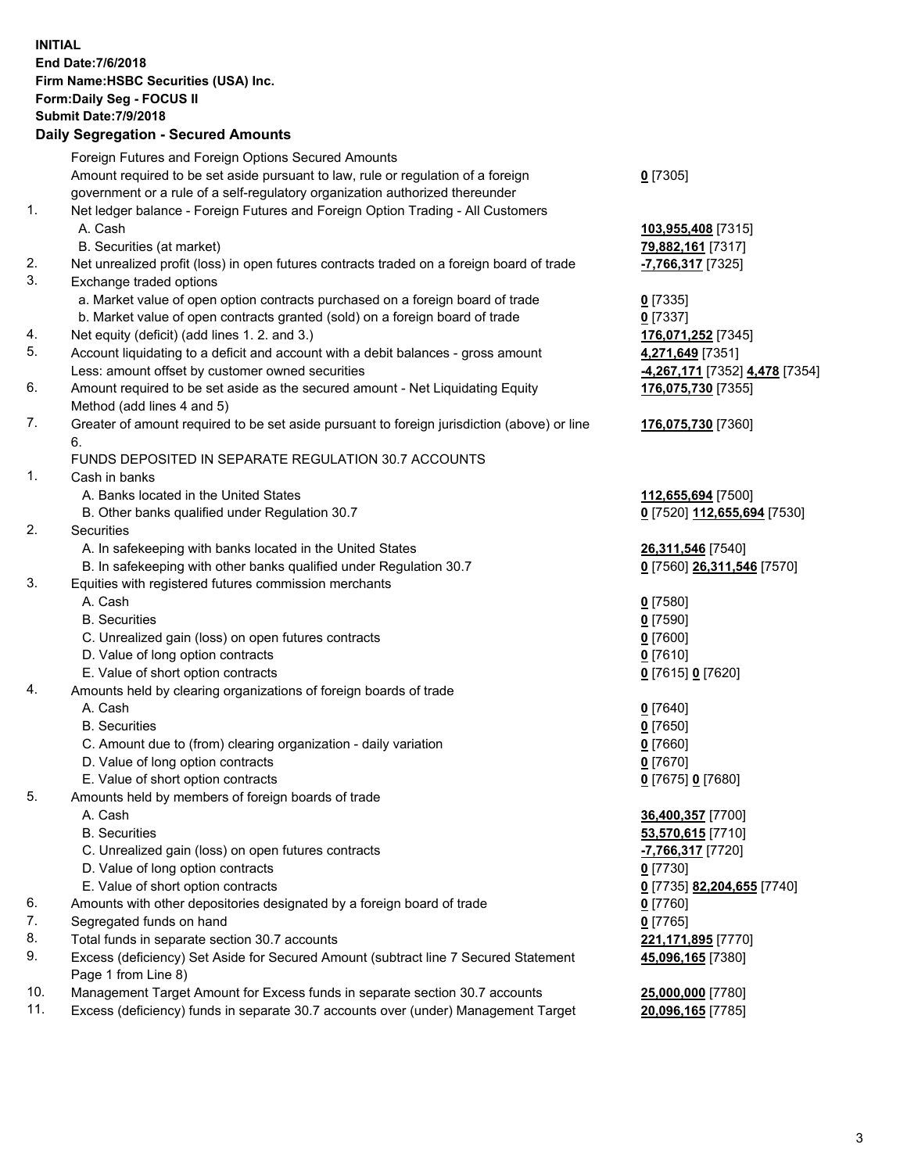**INITIAL End Date:7/6/2018 Firm Name:HSBC Securities (USA) Inc. Form:Daily Seg - FOCUS II Submit Date:7/9/2018 Daily Segregation - Secured Amounts** Foreign Futures and Foreign Options Secured Amounts Amount required to be set aside pursuant to law, rule or regulation of a foreign government or a rule of a self-regulatory organization authorized thereunder **0** [7305] 1. Net ledger balance - Foreign Futures and Foreign Option Trading - All Customers A. Cash **103,955,408** [7315] B. Securities (at market) **79,882,161** [7317] 2. Net unrealized profit (loss) in open futures contracts traded on a foreign board of trade **-7,766,317** [7325] 3. Exchange traded options a. Market value of open option contracts purchased on a foreign board of trade **0** [7335] b. Market value of open contracts granted (sold) on a foreign board of trade **0** [7337] 4. Net equity (deficit) (add lines 1. 2. and 3.) **176,071,252** [7345] 5. Account liquidating to a deficit and account with a debit balances - gross amount **4,271,649** [7351] Less: amount offset by customer owned securities **-4,267,171** [7352] **4,478** [7354] 6. Amount required to be set aside as the secured amount - Net Liquidating Equity Method (add lines 4 and 5) **176,075,730** [7355] 7. Greater of amount required to be set aside pursuant to foreign jurisdiction (above) or line 6. **176,075,730** [7360] FUNDS DEPOSITED IN SEPARATE REGULATION 30.7 ACCOUNTS 1. Cash in banks A. Banks located in the United States **112,655,694** [7500] B. Other banks qualified under Regulation 30.7 **0** [7520] **112,655,694** [7530] 2. Securities A. In safekeeping with banks located in the United States **26,311,546** [7540] B. In safekeeping with other banks qualified under Regulation 30.7 **0** [7560] **26,311,546** [7570] 3. Equities with registered futures commission merchants A. Cash **0** [7580] B. Securities **0** [7590] C. Unrealized gain (loss) on open futures contracts **0** [7600] D. Value of long option contracts **0** [7610] E. Value of short option contracts **0** [7615] **0** [7620] 4. Amounts held by clearing organizations of foreign boards of trade A. Cash **0** [7640] B. Securities **0** [7650] C. Amount due to (from) clearing organization - daily variation **0** [7660] D. Value of long option contracts **0** [7670] E. Value of short option contracts **0** [7675] **0** [7680] 5. Amounts held by members of foreign boards of trade A. Cash **36,400,357** [7700] B. Securities **53,570,615** [7710] C. Unrealized gain (loss) on open futures contracts **-7,766,317** [7720] D. Value of long option contracts **0** [7730] E. Value of short option contracts **0** [7735] **82,204,655** [7740] 6. Amounts with other depositories designated by a foreign board of trade **0** [7760] 7. Segregated funds on hand **0** [7765] 8. Total funds in separate section 30.7 accounts **221,171,895** [7770] 9. Excess (deficiency) Set Aside for Secured Amount (subtract line 7 Secured Statement Page 1 from Line 8) **45,096,165** [7380] 10. Management Target Amount for Excess funds in separate section 30.7 accounts **25,000,000** [7780] 11. Excess (deficiency) funds in separate 30.7 accounts over (under) Management Target **20,096,165** [7785]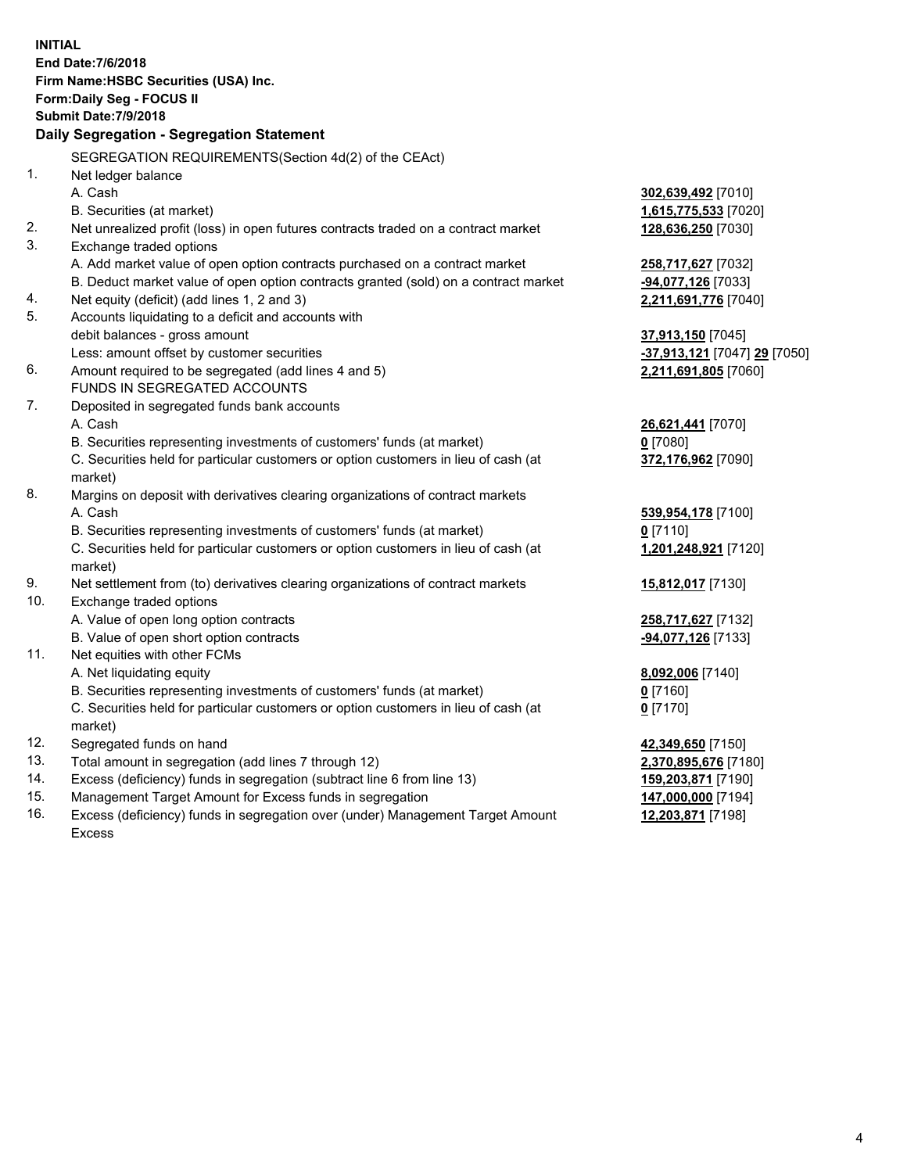|            | <b>INITIAL</b><br>End Date: 7/6/2018<br>Firm Name: HSBC Securities (USA) Inc.<br><b>Form:Daily Seg - FOCUS II</b><br><b>Submit Date: 7/9/2018</b><br>Daily Segregation - Segregation Statement |                              |
|------------|------------------------------------------------------------------------------------------------------------------------------------------------------------------------------------------------|------------------------------|
|            | SEGREGATION REQUIREMENTS(Section 4d(2) of the CEAct)                                                                                                                                           |                              |
| 1.         | Net ledger balance                                                                                                                                                                             |                              |
|            | A. Cash                                                                                                                                                                                        | 302,639,492 [7010]           |
|            | B. Securities (at market)                                                                                                                                                                      | 1,615,775,533 [7020]         |
| 2.         | Net unrealized profit (loss) in open futures contracts traded on a contract market                                                                                                             | 128,636,250 [7030]           |
| 3.         | Exchange traded options                                                                                                                                                                        |                              |
|            | A. Add market value of open option contracts purchased on a contract market                                                                                                                    | 258,717,627 [7032]           |
|            | B. Deduct market value of open option contracts granted (sold) on a contract market                                                                                                            | -94,077,126 [7033]           |
| 4.         | Net equity (deficit) (add lines 1, 2 and 3)                                                                                                                                                    | 2,211,691,776 [7040]         |
| 5.         | Accounts liquidating to a deficit and accounts with                                                                                                                                            |                              |
|            | debit balances - gross amount                                                                                                                                                                  | <b>37,913,150</b> [7045]     |
|            | Less: amount offset by customer securities                                                                                                                                                     | -37,913,121 [7047] 29 [7050] |
| 6.         | Amount required to be segregated (add lines 4 and 5)                                                                                                                                           | 2,211,691,805 [7060]         |
|            | FUNDS IN SEGREGATED ACCOUNTS                                                                                                                                                                   |                              |
| 7.         | Deposited in segregated funds bank accounts                                                                                                                                                    |                              |
|            | A. Cash                                                                                                                                                                                        | 26,621,441 [7070]            |
|            | B. Securities representing investments of customers' funds (at market)                                                                                                                         | <u>0</u> [7080]              |
|            | C. Securities held for particular customers or option customers in lieu of cash (at<br>market)                                                                                                 | 372,176,962 [7090]           |
| 8.         | Margins on deposit with derivatives clearing organizations of contract markets                                                                                                                 |                              |
|            | A. Cash                                                                                                                                                                                        | 539,954,178 [7100]           |
|            | B. Securities representing investments of customers' funds (at market)                                                                                                                         | $0$ [7110]                   |
|            | C. Securities held for particular customers or option customers in lieu of cash (at                                                                                                            | 1,201,248,921 [7120]         |
|            | market)                                                                                                                                                                                        |                              |
| 9.         | Net settlement from (to) derivatives clearing organizations of contract markets                                                                                                                | <u>15,812,017</u> [7130]     |
| 10.        | Exchange traded options                                                                                                                                                                        |                              |
|            | A. Value of open long option contracts                                                                                                                                                         | 258,717,627 [7132]           |
|            | B. Value of open short option contracts                                                                                                                                                        | -94,077,126 [7133]           |
| 11.        | Net equities with other FCMs                                                                                                                                                                   |                              |
|            | A. Net liquidating equity                                                                                                                                                                      | 8,092,006 [7140]             |
|            | B. Securities representing investments of customers' funds (at market)                                                                                                                         | $0$ [7160]                   |
|            | C. Securities held for particular customers or option customers in lieu of cash (at                                                                                                            | <u>0</u> [7170]              |
|            | market)                                                                                                                                                                                        |                              |
| 12.        | Segregated funds on hand                                                                                                                                                                       | 42,349,650 [7150]            |
| 13.        | Total amount in segregation (add lines 7 through 12)                                                                                                                                           | 2,370,895,676 [7180]         |
| 14.<br>15. | Excess (deficiency) funds in segregation (subtract line 6 from line 13)                                                                                                                        | 159,203,871 [7190]           |
|            | Management Target Amount for Excess funds in segregation                                                                                                                                       | 147,000,000 [7194]           |

16. Excess (deficiency) funds in segregation over (under) Management Target Amount Excess

**12,203,871** [7198]